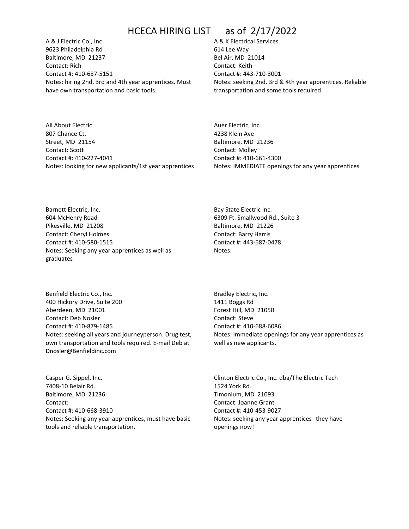A & J Electric Co., Inc 9623 Philadelphia Rd Baltimore, MD 21237 Contact: Rich Contact #: 410-687-5151 Notes: hiring 2nd, 3rd and 4th year apprentices. Must have own transportation and basic tools.

A & K Electrical Services 614 Lee Way Bel Air, MD 21014 Contact: Keith Contact #: 443-710-3001 Notes: seeking 2nd, 3rd & 4th year apprentices. Reliable transportation and some tools required.

All About Electric 807 Chance Ct. Street, MD 21154 Contact: Scott Contact #: 410-227-4041 Notes: looking for new applicants/1st year apprentices Auer Electric, Inc. 4238 Klein Ave Baltimore, MD 21236 Contact: Molley Contact #: 410-661-4300 Notes: IMMEDIATE openings for any year apprentices

Barnett Electric, Inc. 604 McHenry Road Pikesville, MD 21208 Contact: Cheryl Holmes Contact #: 410-580-1515 Notes: Seeking any year apprentices as well as graduates

Benfield Electric Co., Inc. 400 Hickory Drive, Suite 200 Aberdeen, MD 21001 Contact: Deb Nosler Contact #: 410-879-1485 Notes: seeking all years and journeyperson. Drug test, own transportation and tools required. E-mail Deb at Dnosler@Benfieldinc.com

Casper G. Sippel, Inc. 7408-10 Belair Rd. Baltimore, MD 21236 Contact: Contact #: 410-668-3910 Notes: Seeking any year apprentices, must have basic tools and reliable transportation.

Bay State Electric Inc. 6309 Ft. Smallwood Rd., Suite 3 Baltimore, MD 21226 Contact: Barry Harris Contact #: 443-687-0478 Notes:

Bradley Electric, Inc. 1411 Boggs Rd Forest Hill, MD 21050 Contact: Steve Contact #: 410-688-6086 Notes: Immediate openings for any year apprentices as well as new applicants.

Clinton Electric Co., Inc. dba/The Electric Tech 1524 York Rd. Timonium, MD 21093 Contact: Joanne Grant Contact #: 410-453-9027 Notes: seeking any year apprentices--they have openings now!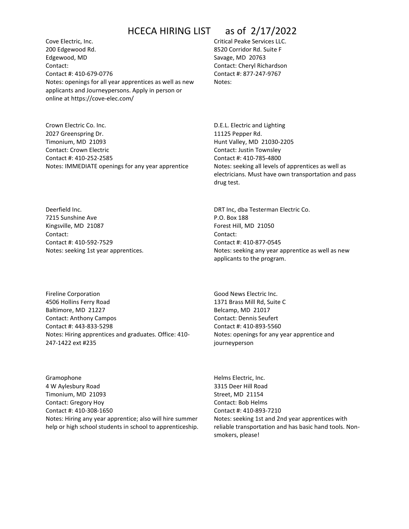Cove Electric, Inc. 200 Edgewood Rd. Edgewood, MD Contact: Contact #: 410-679-0776 Notes: openings for all year apprentices as well as new applicants and Journeypersons. Apply in person or online at https://cove-elec.com/

Crown Electric Co. Inc. 2027 Greenspring Dr. Timonium, MD 21093 Contact: Crown Electric Contact #: 410-252-2585 Notes: IMMEDIATE openings for any year apprentice Critical Peake Services LLC. 8520 Corridor Rd. Suite F Savage, MD 20763 Contact: Cheryl Richardson Contact #: 877-247-9767 Notes:

D.E.L. Electric and Lighting 11125 Pepper Rd. Hunt Valley, MD 21030-2205 Contact: Justin Townsley Contact #: 410-785-4800 Notes: seeking all levels of apprentices as well as electricians. Must have own transportation and pass drug test.

Deerfield Inc. 7215 Sunshine Ave Kingsville, MD 21087 Contact: Contact #: 410-592-7529 Notes: seeking 1st year apprentices.

Fireline Corporation 4506 Hollins Ferry Road Baltimore, MD 21227 Contact: Anthony Campos Contact #: 443-833-5298 Notes: Hiring apprentices and graduates. Office: 410- 247-1422 ext #235

Gramophone 4 W Aylesbury Road Timonium, MD 21093 Contact: Gregory Hoy Contact #: 410-308-1650 Notes: Hiring any year apprentice; also will hire summer help or high school students in school to apprenticeship. DRT Inc, dba Testerman Electric Co. P.O. Box 188 Forest Hill, MD 21050 Contact: Contact #: 410-877-0545 Notes: seeking any year apprentice as well as new applicants to the program.

Good News Electric Inc. 1371 Brass Mill Rd, Suite C Belcamp, MD 21017 Contact: Dennis Seufert Contact #: 410-893-5560 Notes: openings for any year apprentice and journeyperson

Helms Electric, Inc. 3315 Deer Hill Road Street, MD 21154 Contact: Bob Helms Contact #: 410-893-7210 Notes: seeking 1st and 2nd year apprentices with reliable transportation and has basic hand tools. Nonsmokers, please!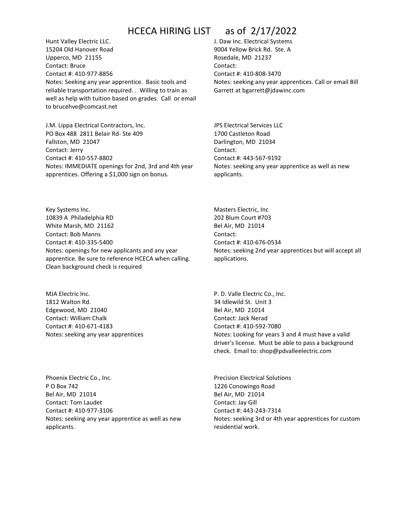Hunt Valley Electric LLC. 15204 Old Hanover Road Upperco, MD 21155 Contact: Bruce Contact #: 410-977-8856 Notes: Seeking any year apprentice. Basic tools and reliable transportation required. . Willing to train as well as help with tuition based on grades. Call or email to brucehve@comcast.net

J.M. Lippa Electrical Contractors, Inc. PO Box 488 2811 Belair Rd- Ste 409 Fallston, MD 21047 Contact: Jerry Contact #: 410-557-8802 Notes: IMMEDIATE openings for 2nd, 3rd and 4th year apprentices. Offering a \$1,000 sign on bonus.

J. Daw Inc. Electrical Systems 9004 Yellow Brick Rd. Ste. A Rosedale, MD 21237 Contact: Contact #: 410-808-3470 Notes: seeking any year apprentices. Call or email Bill Garrett at bgarrett@jdawinc.com

JPS Electrical Services LLC 1700 Castleton Road Darlington, MD 21034 Contact: Contact #: 443-567-9192 Notes: seeking any year apprentice as well as new applicants.

Key Systems Inc. 10839 A Philadelphia RD White Marsh, MD 21162 Contact: Bob Manns Contact #: 410-335-5400 Notes: openings for new applicants and any year apprentice. Be sure to reference HCECA when calling. Clean background check is required

MJA Electric Inc. 1812 Walton Rd. Edgewood, MD 21040 Contact: William Chalk Contact #: 410-671-4183 Notes: seeking any year apprentices

Phoenix Electric Co., Inc. P O Box 742 Bel Air, MD 21014 Contact: Tom Laudet Contact #: 410-977-3106 Notes: seeking any year apprentice as well as new applicants.

Masters Electric, Inc 202 Blum Court #703 Bel Air, MD 21014 Contact: Contact #: 410-676-0534 Notes: seeking 2nd year apprentices but will accept all applications.

P. D. Valle Electric Co., Inc. 34 Idlewild St. Unit 3 Bel Air, MD 21014 Contact: Jack Nerad Contact #: 410-592-7080 Notes: Looking for years 3 and 4 must have a valid driver's license. Must be able to pass a background check. Email to: shop@pdvalleelectric.com

Precision Electrical Solutions 1226 Conowingo Road Bel Air, MD 21014 Contact: Jay Gill Contact #: 443-243-7314 Notes: seeking 3rd or 4th year apprentices for custom residential work.